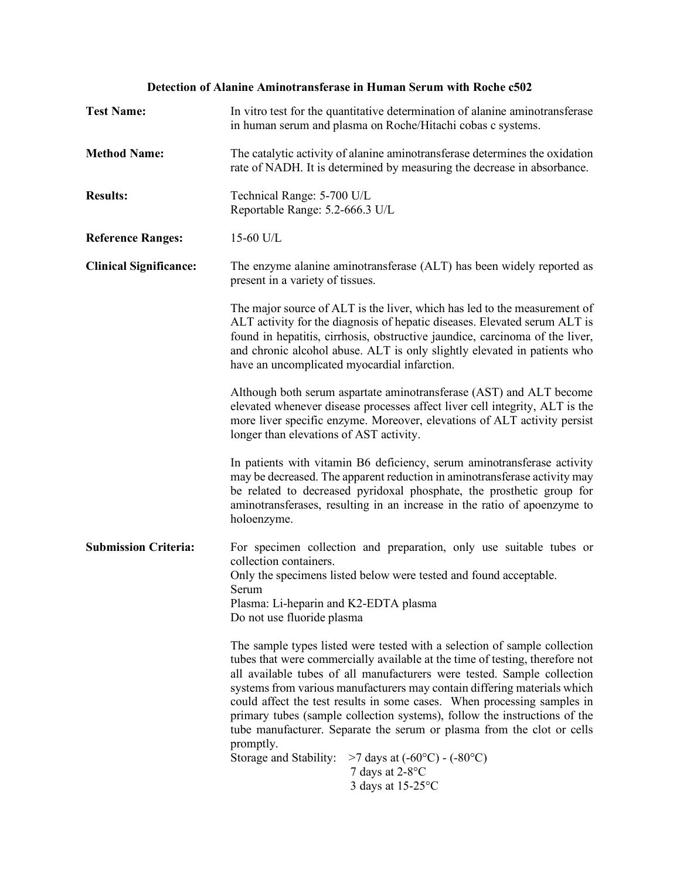# **Detection of Alanine Aminotransferase in Human Serum with Roche c502**

| <b>Test Name:</b>             | In vitro test for the quantitative determination of alanine aminotransferase<br>in human serum and plasma on Roche/Hitachi cobas c systems.                                                                                                                                                                                                                                                                                                                                                                                                                                                                                                                                                              |
|-------------------------------|----------------------------------------------------------------------------------------------------------------------------------------------------------------------------------------------------------------------------------------------------------------------------------------------------------------------------------------------------------------------------------------------------------------------------------------------------------------------------------------------------------------------------------------------------------------------------------------------------------------------------------------------------------------------------------------------------------|
| <b>Method Name:</b>           | The catalytic activity of alanine aminotransferase determines the oxidation<br>rate of NADH. It is determined by measuring the decrease in absorbance.                                                                                                                                                                                                                                                                                                                                                                                                                                                                                                                                                   |
| <b>Results:</b>               | Technical Range: 5-700 U/L<br>Reportable Range: 5.2-666.3 U/L                                                                                                                                                                                                                                                                                                                                                                                                                                                                                                                                                                                                                                            |
| <b>Reference Ranges:</b>      | 15-60 U/L                                                                                                                                                                                                                                                                                                                                                                                                                                                                                                                                                                                                                                                                                                |
| <b>Clinical Significance:</b> | The enzyme alanine aminotransferase (ALT) has been widely reported as<br>present in a variety of tissues.                                                                                                                                                                                                                                                                                                                                                                                                                                                                                                                                                                                                |
|                               | The major source of ALT is the liver, which has led to the measurement of<br>ALT activity for the diagnosis of hepatic diseases. Elevated serum ALT is<br>found in hepatitis, cirrhosis, obstructive jaundice, carcinoma of the liver,<br>and chronic alcohol abuse. ALT is only slightly elevated in patients who<br>have an uncomplicated myocardial infarction.                                                                                                                                                                                                                                                                                                                                       |
|                               | Although both serum aspartate aminotransferase (AST) and ALT become<br>elevated whenever disease processes affect liver cell integrity, ALT is the<br>more liver specific enzyme. Moreover, elevations of ALT activity persist<br>longer than elevations of AST activity.                                                                                                                                                                                                                                                                                                                                                                                                                                |
|                               | In patients with vitamin B6 deficiency, serum aminotransferase activity<br>may be decreased. The apparent reduction in aminotransferase activity may<br>be related to decreased pyridoxal phosphate, the prosthetic group for<br>aminotransferases, resulting in an increase in the ratio of apoenzyme to<br>holoenzyme.                                                                                                                                                                                                                                                                                                                                                                                 |
| <b>Submission Criteria:</b>   | For specimen collection and preparation, only use suitable tubes or<br>collection containers.                                                                                                                                                                                                                                                                                                                                                                                                                                                                                                                                                                                                            |
|                               | Only the specimens listed below were tested and found acceptable.<br>Serum                                                                                                                                                                                                                                                                                                                                                                                                                                                                                                                                                                                                                               |
|                               | Plasma: Li-heparin and K2-EDTA plasma<br>Do not use fluoride plasma                                                                                                                                                                                                                                                                                                                                                                                                                                                                                                                                                                                                                                      |
|                               | The sample types listed were tested with a selection of sample collection<br>tubes that were commercially available at the time of testing, therefore not<br>all available tubes of all manufacturers were tested. Sample collection<br>systems from various manufacturers may contain differing materials which<br>could affect the test results in some cases. When processing samples in<br>primary tubes (sample collection systems), follow the instructions of the<br>tube manufacturer. Separate the serum or plasma from the clot or cells<br>promptly.<br>Storage and Stability:<br>$>7$ days at (-60 $^{\circ}$ C) - (-80 $^{\circ}$ C)<br>7 days at $2-8$ <sup>o</sup> C<br>3 days at 15-25°C |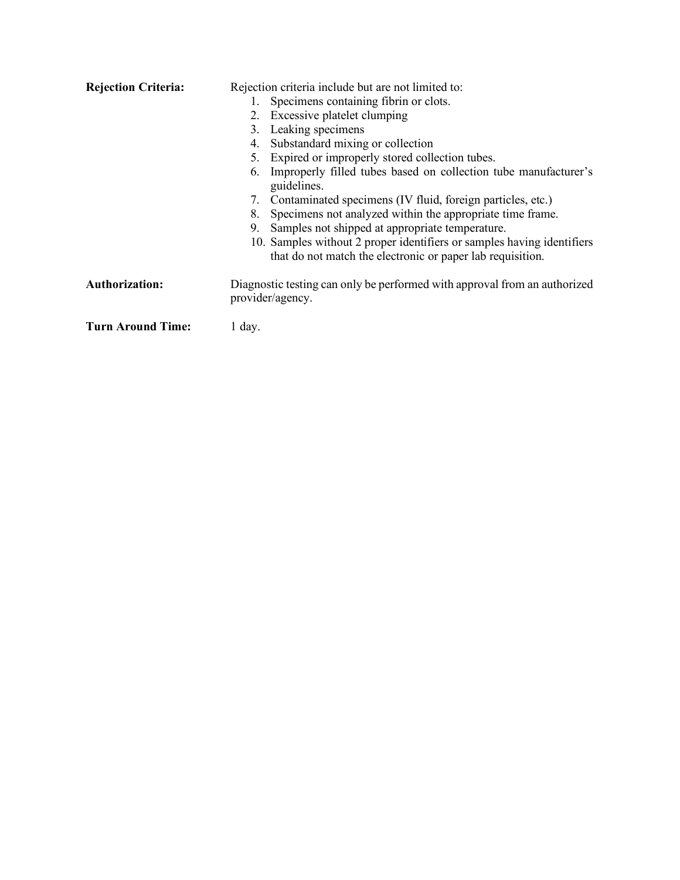| <b>Rejection Criteria:</b> | Rejection criteria include but are not limited to:                                                                                   |
|----------------------------|--------------------------------------------------------------------------------------------------------------------------------------|
|                            | Specimens containing fibrin or clots.                                                                                                |
|                            | Excessive platelet clumping<br>2.                                                                                                    |
|                            | Leaking specimens<br>3.                                                                                                              |
|                            | Substandard mixing or collection<br>4.                                                                                               |
|                            | Expired or improperly stored collection tubes.                                                                                       |
|                            | Improperly filled tubes based on collection tube manufacturer's<br>6.<br>guidelines.                                                 |
|                            | Contaminated specimens (IV fluid, foreign particles, etc.)<br>7.                                                                     |
|                            | Specimens not analyzed within the appropriate time frame.<br>8.                                                                      |
|                            | Samples not shipped at appropriate temperature.<br>9.                                                                                |
|                            | 10. Samples without 2 proper identifiers or samples having identifiers<br>that do not match the electronic or paper lab requisition. |
| <b>Authorization:</b>      | Diagnostic testing can only be performed with approval from an authorized<br>provider/agency.                                        |
| <b>Turn Around Time:</b>   | 1 day.                                                                                                                               |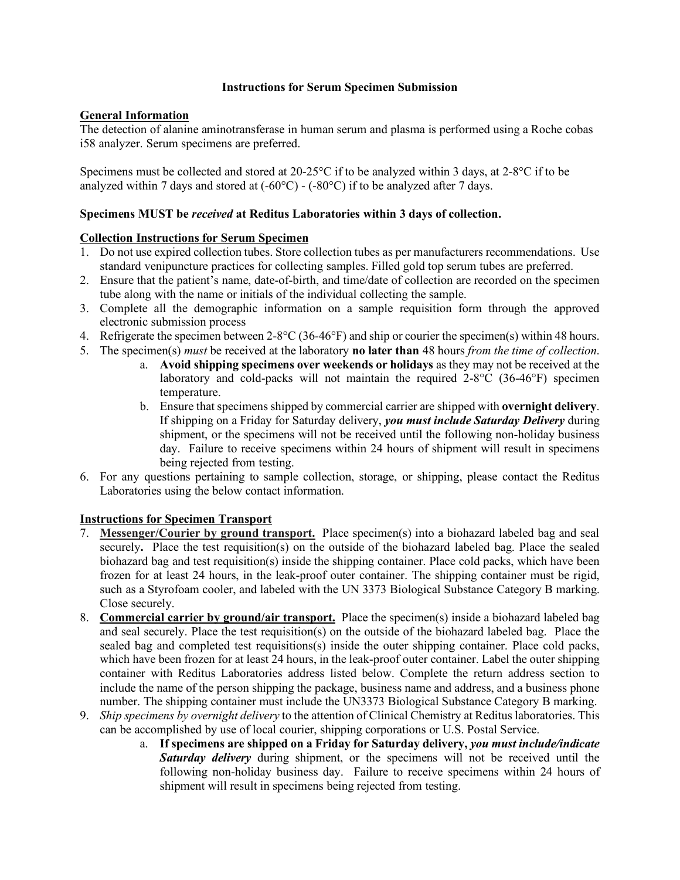#### **Instructions for Serum Specimen Submission**

## **General Information**

The detection of alanine aminotransferase in human serum and plasma is performed using a Roche cobas i58 analyzer. Serum specimens are preferred.

Specimens must be collected and stored at 20-25°C if to be analyzed within 3 days, at 2-8°C if to be analyzed within 7 days and stored at  $(-60^{\circ}C)$  -  $(-80^{\circ}C)$  if to be analyzed after 7 days.

### **Specimens MUST be** *received* **at Reditus Laboratories within 3 days of collection.**

### **Collection Instructions for Serum Specimen**

- 1. Do not use expired collection tubes. Store collection tubes as per manufacturers recommendations. Use standard venipuncture practices for collecting samples. Filled gold top serum tubes are preferred.
- 2. Ensure that the patient's name, date-of-birth, and time/date of collection are recorded on the specimen tube along with the name or initials of the individual collecting the sample.
- 3. Complete all the demographic information on a sample requisition form through the approved electronic submission process
- 4. Refrigerate the specimen between 2-8°C (36-46°F) and ship or courier the specimen(s) within 48 hours.
- 5. The specimen(s) *must* be received at the laboratory **no later than** 48 hours *from the time of collection*.
	- a. **Avoid shipping specimens over weekends or holidays** as they may not be received at the laboratory and cold-packs will not maintain the required 2-8°C (36-46°F) specimen temperature.
	- b. Ensure that specimens shipped by commercial carrier are shipped with **overnight delivery**. If shipping on a Friday for Saturday delivery, *you must include Saturday Delivery* during shipment, or the specimens will not be received until the following non-holiday business day. Failure to receive specimens within 24 hours of shipment will result in specimens being rejected from testing.
- 6. For any questions pertaining to sample collection, storage, or shipping, please contact the Reditus Laboratories using the below contact information.

## **Instructions for Specimen Transport**

- 7. **Messenger/Courier by ground transport.** Place specimen(s) into a biohazard labeled bag and seal securely**.** Place the test requisition(s) on the outside of the biohazard labeled bag. Place the sealed biohazard bag and test requisition(s) inside the shipping container. Place cold packs, which have been frozen for at least 24 hours, in the leak-proof outer container. The shipping container must be rigid, such as a Styrofoam cooler, and labeled with the UN 3373 Biological Substance Category B marking. Close securely.
- 8. **Commercial carrier by ground/air transport.** Place the specimen(s) inside a biohazard labeled bag and seal securely. Place the test requisition(s) on the outside of the biohazard labeled bag. Place the sealed bag and completed test requisitions(s) inside the outer shipping container. Place cold packs, which have been frozen for at least 24 hours, in the leak-proof outer container. Label the outer shipping container with Reditus Laboratories address listed below. Complete the return address section to include the name of the person shipping the package, business name and address, and a business phone number. The shipping container must include the UN3373 Biological Substance Category B marking.
- 9. *Ship specimens by overnight delivery* to the attention of Clinical Chemistry at Reditus laboratories. This can be accomplished by use of local courier, shipping corporations or U.S. Postal Service.
	- a. **If specimens are shipped on a Friday for Saturday delivery,** *you must include/indicate Saturday delivery* during shipment, or the specimens will not be received until the following non-holiday business day. Failure to receive specimens within 24 hours of shipment will result in specimens being rejected from testing.